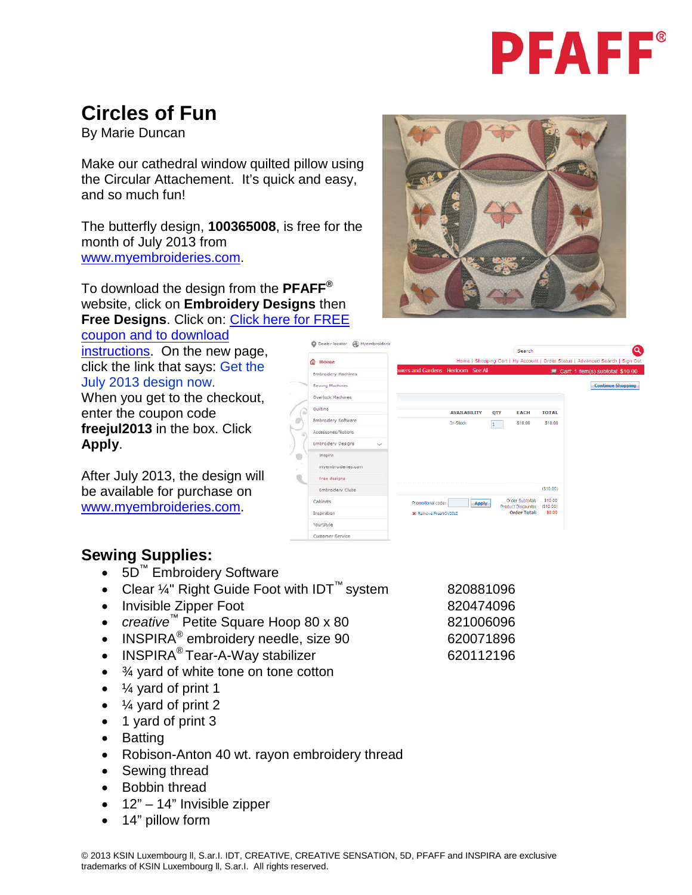

### **Circles of Fun**

By Marie Duncan

Make our cathedral window quilted pillow using the Circular Attachement. It's quick and easy, and so much fun!

The butterfly design, **100365008**, is free for the month of July 2013 from [www.myembroideries.com.](http://www.myembroideries.com/)

To download the design from the **PFAFF®** website, click on **Embroidery Designs** then **Free Designs**. Click on: [Click here for FREE](http://www.pfaffusa.com/721_34312.html) 

[coupon and to download](http://www.pfaffusa.com/721_34312.html)  [instructions.](http://www.pfaffusa.com/721_34312.html) On the new page, click the link that says: Get the July 2013 design now.

When you get to the checkout, enter the coupon code **freejul2013** in the box. Click **Apply**.

After July 2013, the design will be available for purchase on [www.myembroideries.com.](http://www.myembroideries.com/)

|                          |                                   | Search                                                  |                      |
|--------------------------|-----------------------------------|---------------------------------------------------------|----------------------|
| Home<br>o                |                                   | Home   Shopping Cart   My Account   Order Status   Adva |                      |
| Embroidery Machines      | wers and Gardens Heirloom See All |                                                         | $Cart: 1$ item       |
| Sewing Machines          |                                   |                                                         |                      |
| <b>Overlock Machines</b> |                                   |                                                         |                      |
| Quilting                 | <b>AVAILABILITY</b>               | <b>OTY</b><br><b>EACH</b>                               | <b>TOTAL</b>         |
| Embroidery Software      | In-Stock                          | \$10.00<br>1                                            | \$10.00              |
| Accessories/Notions      |                                   |                                                         |                      |
| Embroidery Designs<br>v. |                                   |                                                         |                      |
| Inspira                  |                                   |                                                         |                      |
| myembroidenes.com        |                                   |                                                         |                      |
| Free designs             |                                   |                                                         |                      |
| Embroidery Clubs         |                                   |                                                         | (S10.00)             |
| Cabinets                 | Promotional code:<br>Apply        | Order Subtotal:<br>Product Discounts:                   | \$10.00<br>(\$10.00) |
| Inspiration              | <b>30</b> Remove FreeNOV2012      | <b>Order Total:</b>                                     | \$0.00               |
| YourStyle                |                                   |                                                         |                      |

C Dealer locator (E) Myembroiderie

Customer Service

#### **Sewing Supplies:**

- 5D™ Embroidery Software
- Clear ¼" Right Guide Foot with IDT™ system 820881096
- Invisible Zipper Foot 820474096
- *creative*™ Petite Square Hoop 80 x 80 821006096
- INSPIRA<sup>®</sup> embroidery needle, size 90 620071896
- INSPIRA<sup>®</sup> Tear-A-Way stabilizer 620112196
- $\bullet$   $\frac{3}{4}$  yard of white tone on tone cotton
- $\frac{1}{4}$  yard of print 1
- $\frac{1}{4}$  yard of print 2
- 1 yard of print 3
- Batting
- Robison-Anton 40 wt. rayon embroidery thread
- Sewing thread
- Bobbin thread
- $\bullet$  12" 14" Invisible zipper
- 14" pillow form

© 2013 KSIN Luxembourg ll, S.ar.I. IDT, CREATIVE, CREATIVE SENSATION, 5D, PFAFF and INSPIRA are exclusive trademarks of KSIN Luxembourg ll, S.ar.I. All rights reserved.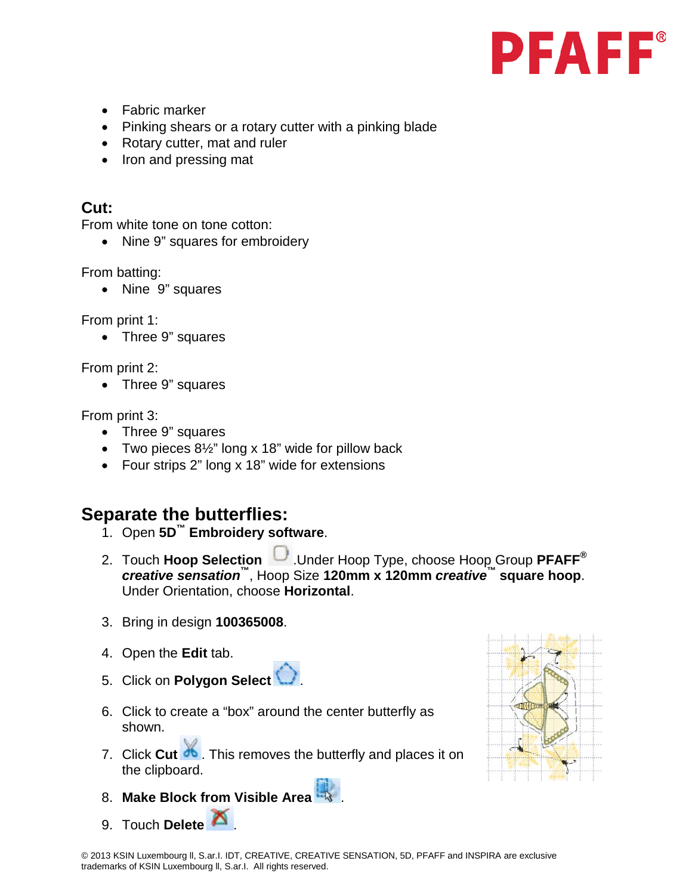- Fabric marker
- Pinking shears or a rotary cutter with a pinking blade
- Rotary cutter, mat and ruler
- Iron and pressing mat

#### **Cut:**

From white tone on tone cotton:

• Nine 9" squares for embroidery

From batting:

• Nine 9" squares

From print 1:

• Three 9" squares

From print 2:

• Three 9" squares

From print 3:

- Three 9" squares
- Two pieces 8½" long x 18" wide for pillow back
- Four strips 2" long x 18" wide for extensions

### **Separate the butterflies:**

- 1. Open **5D™ Embroidery software**.
- 2. Touch **Hoop Selection** .Under Hoop Type, choose Hoop Group **PFAFF®** *creative sensation***™**, Hoop Size **120mm x 120mm** *creative***™ square hoop**. Under Orientation, choose **Horizontal**.
- 3. Bring in design **100365008**.
- 4. Open the **Edit** tab.
- 5. Click on **Polygon Select** .
- 6. Click to create a "box" around the center butterfly as shown.
- 7. Click **Cut 30**. This removes the butterfly and places it on the clipboard.
- 8. **Make Block from Visible Area** .
- 9. Touch **Delete 1**

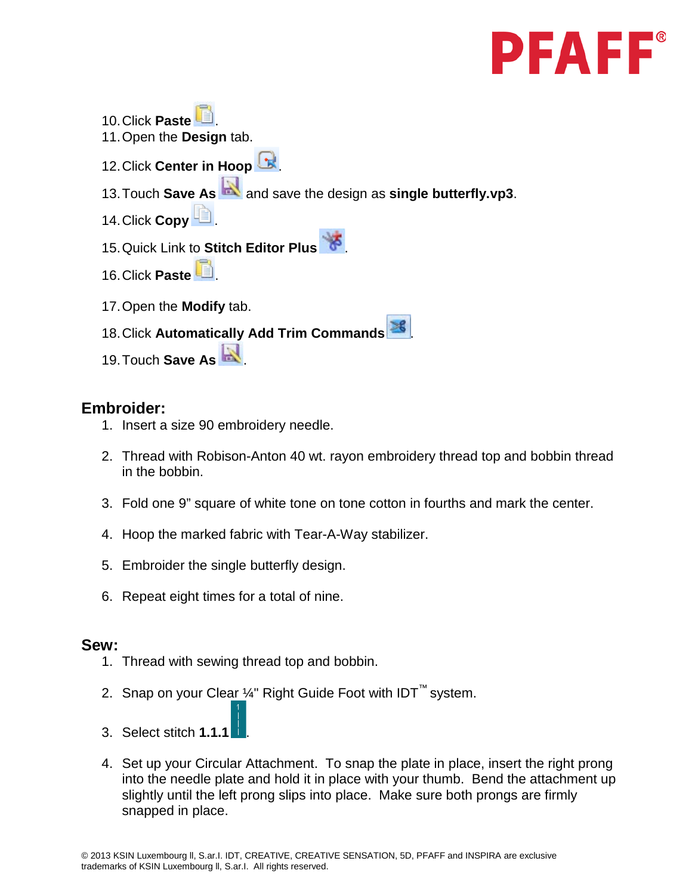10.Click **Paste** . 11.Open the **Design** tab. 12. Click **Center in Hoop** 13.Touch **Save As** and save the design as **single butterfly.vp3**. 14. Click **Copy** 15.Quick Link to **Stitch Editor Plus** . 16. Click **Paste** 17.Open the **Modify** tab. 18. Click Automatically Add Trim Commands<sup>36</sup> 19.Touch **Save As** .

#### **Embroider:**

- 1. Insert a size 90 embroidery needle.
- 2. Thread with Robison-Anton 40 wt. rayon embroidery thread top and bobbin thread in the bobbin.
- 3. Fold one 9" square of white tone on tone cotton in fourths and mark the center.
- 4. Hoop the marked fabric with Tear-A-Way stabilizer.
- 5. Embroider the single butterfly design.
- 6. Repeat eight times for a total of nine.

#### **Sew:**

- 1. Thread with sewing thread top and bobbin.
- 2. Snap on your Clear ¼" Right Guide Foot with IDT™ system.
- 3. Select stitch **1.1.1** .
- 4. Set up your Circular Attachment. To snap the plate in place, insert the right prong into the needle plate and hold it in place with your thumb. Bend the attachment up slightly until the left prong slips into place. Make sure both prongs are firmly snapped in place.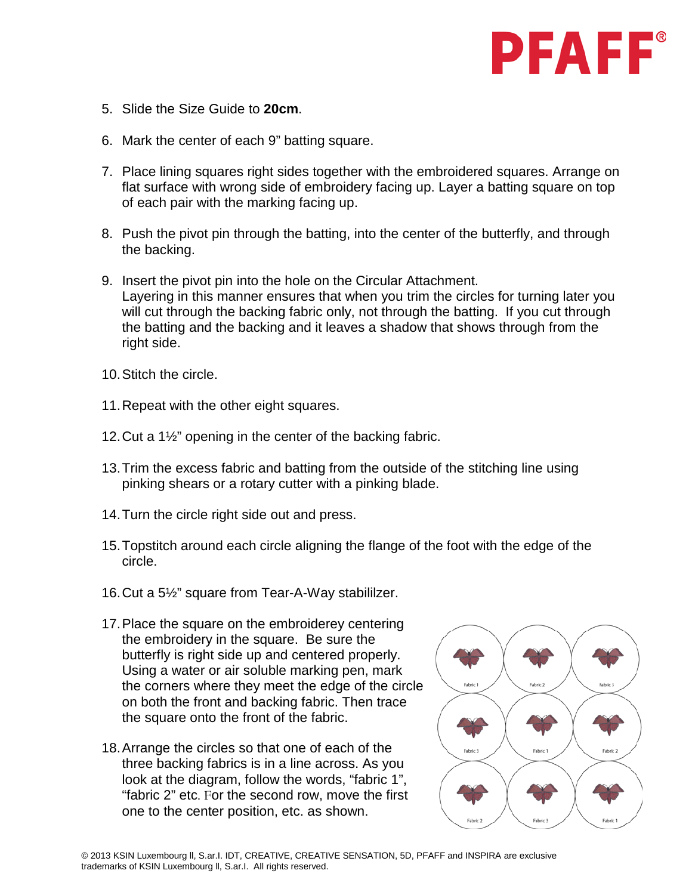- 5. Slide the Size Guide to **20cm**.
- 6. Mark the center of each 9" batting square.
- 7. Place lining squares right sides together with the embroidered squares. Arrange on flat surface with wrong side of embroidery facing up. Layer a batting square on top of each pair with the marking facing up.
- 8. Push the pivot pin through the batting, into the center of the butterfly, and through the backing.
- 9. Insert the pivot pin into the hole on the Circular Attachment. Layering in this manner ensures that when you trim the circles for turning later you will cut through the backing fabric only, not through the batting. If you cut through the batting and the backing and it leaves a shadow that shows through from the right side.
- 10.Stitch the circle.
- 11.Repeat with the other eight squares.
- 12.Cut a 1½" opening in the center of the backing fabric.
- 13.Trim the excess fabric and batting from the outside of the stitching line using pinking shears or a rotary cutter with a pinking blade.
- 14.Turn the circle right side out and press.
- 15.Topstitch around each circle aligning the flange of the foot with the edge of the circle.
- 16.Cut a 5½" square from Tear-A-Way stabililzer.
- 17.Place the square on the embroiderey centering the embroidery in the square. Be sure the butterfly is right side up and centered properly. Using a water or air soluble marking pen, mark the corners where they meet the edge of the circle on both the front and backing fabric. Then trace the square onto the front of the fabric.
- 18.Arrange the circles so that one of each of the three backing fabrics is in a line across. As you look at the diagram, follow the words, "fabric 1", "fabric 2" etc. For the second row, move the first one to the center position, etc. as shown.

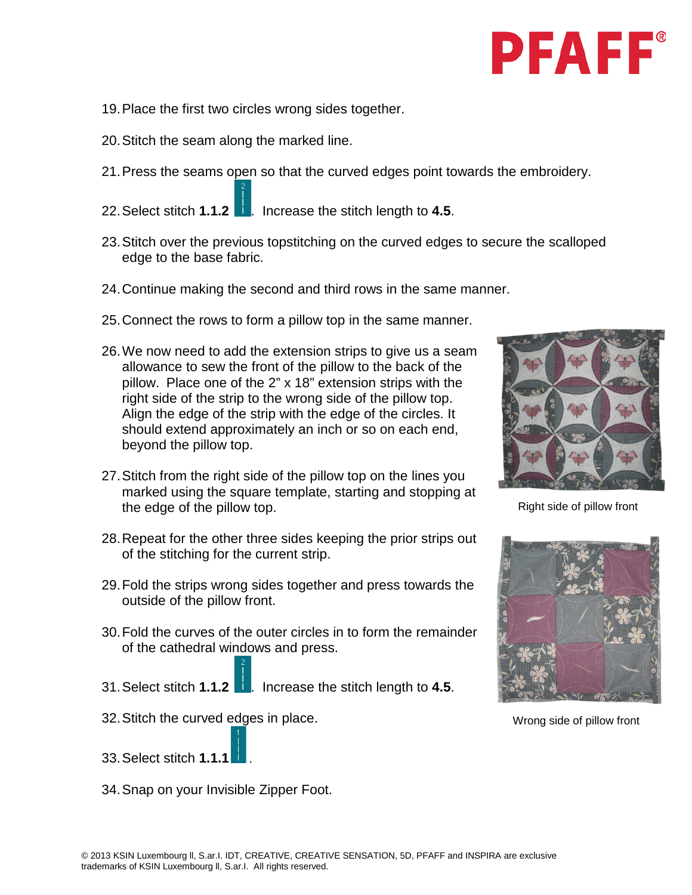- 19.Place the first two circles wrong sides together.
- 20.Stitch the seam along the marked line.
- 21.Press the seams open so that the curved edges point towards the embroidery.
- 22.Select stitch **1.1.2** . Increase the stitch length to **4.5**.
- 23.Stitch over the previous topstitching on the curved edges to secure the scalloped edge to the base fabric.
- 24.Continue making the second and third rows in the same manner.
- 25.Connect the rows to form a pillow top in the same manner.
- 26.We now need to add the extension strips to give us a seam allowance to sew the front of the pillow to the back of the pillow. Place one of the 2" x 18" extension strips with the right side of the strip to the wrong side of the pillow top. Align the edge of the strip with the edge of the circles. It should extend approximately an inch or so on each end, beyond the pillow top.
- 27.Stitch from the right side of the pillow top on the lines you marked using the square template, starting and stopping at the edge of the pillow top.
- 28.Repeat for the other three sides keeping the prior strips out of the stitching for the current strip.
- 29.Fold the strips wrong sides together and press towards the outside of the pillow front.
- 30.Fold the curves of the outer circles in to form the remainder of the cathedral windows and press.
- 31.Select stitch **1.1.2** . Increase the stitch length to **4.5**.
- 32.Stitch the curved edges in place.
- 33.Select stitch **1.1.1** .
- 34.Snap on your Invisible Zipper Foot.



Right side of pillow front



Wrong side of pillow front